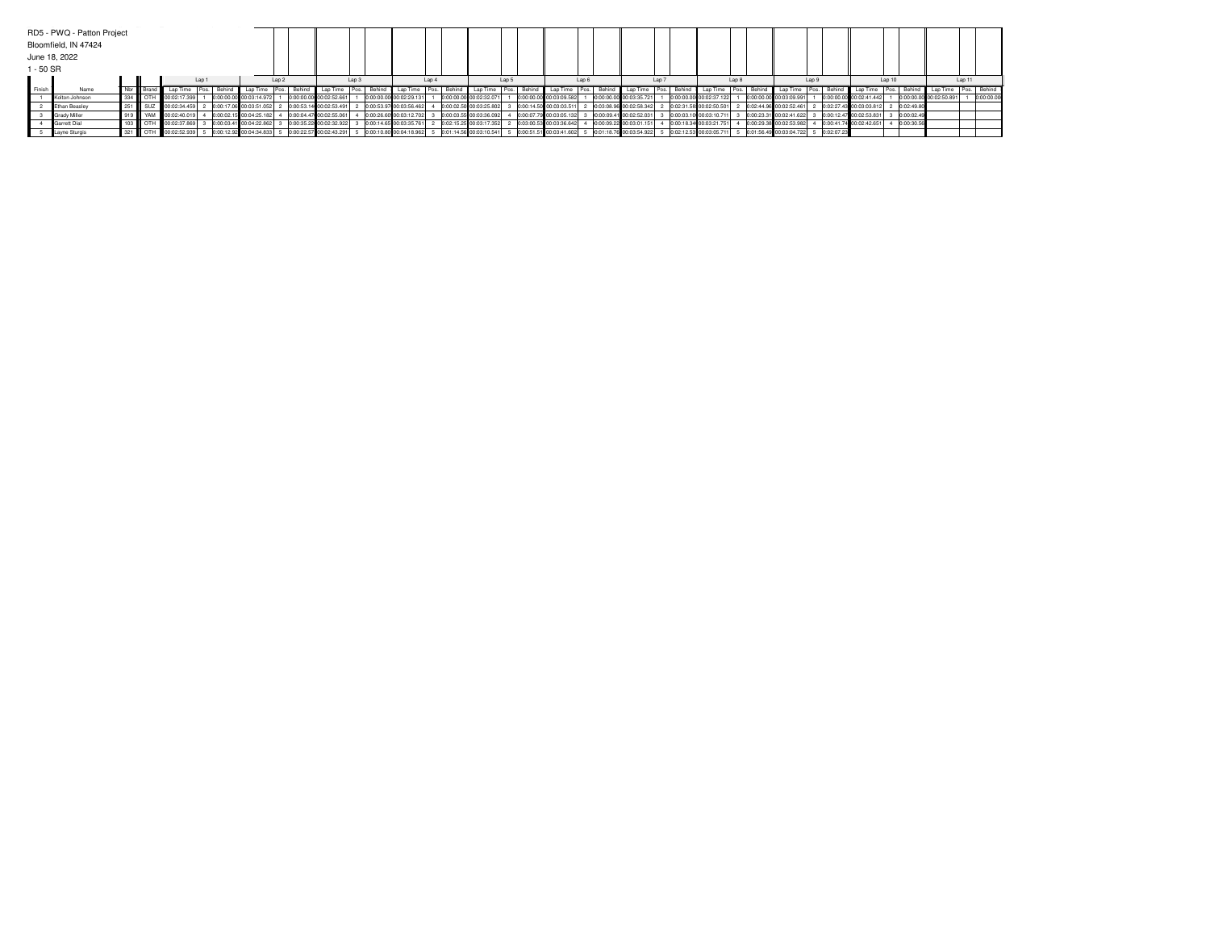|                      | RD5 - PWQ - Patton Project |                             |     |                 |       |        |                           |                  |                 |                                                                   |  |          |                           |       |        |                           |       |        |                           |  |        |                         |  |        |                         |        |                                                                |        |        |                         |          |            |                         |  |             |
|----------------------|----------------------------|-----------------------------|-----|-----------------|-------|--------|---------------------------|------------------|-----------------|-------------------------------------------------------------------|--|----------|---------------------------|-------|--------|---------------------------|-------|--------|---------------------------|--|--------|-------------------------|--|--------|-------------------------|--------|----------------------------------------------------------------|--------|--------|-------------------------|----------|------------|-------------------------|--|-------------|
| Bloomfield, IN 47424 |                            |                             |     |                 |       |        |                           |                  |                 |                                                                   |  |          |                           |       |        |                           |       |        |                           |  |        |                         |  |        |                         |        |                                                                |        |        |                         |          |            |                         |  |             |
| June 18, 2022        |                            |                             |     |                 |       |        |                           |                  |                 |                                                                   |  |          |                           |       |        |                           |       |        |                           |  |        |                         |  |        |                         |        |                                                                |        |        |                         |          |            |                         |  |             |
| $1 - 50$ SR          |                            |                             |     |                 |       |        |                           |                  |                 |                                                                   |  |          |                           |       |        |                           |       |        |                           |  |        |                         |  |        |                         |        |                                                                |        |        |                         |          |            |                         |  |             |
|                      |                            |                             |     |                 | Lap 1 |        |                           | Lap <sub>2</sub> |                 | Lap 3                                                             |  |          | Lap 4                     |       | Lap 5  |                           | Lap 6 |        | Lap 7                     |  |        | Lap 8                   |  | Lap 9  |                         |        |                                                                | Lap 10 |        |                         | Lap 11   |            |                         |  |             |
| Finish               | Name                       |                             |     | Lap Time   Pos. |       | Behind | Lap Time   Pos.           |                  | Behind <b>I</b> | Lap Time   Pos.                                                   |  | Behind   | Lap Time                  | Pos.' | Behind | ' Lap Time Pos.           |       | Behind | LapTime   Pos.            |  | Behind | 'I Lap Time   Pos.   。  |  | Behind | Lap Time                | I Pos. | Behind Lap Time Pos.                                           |        | Behind |                         | . Pos. I |            | Behind Lap Time         |  | Pos. Behind |
|                      | Kolton Johnson             | $\parallel$ 334 $\parallel$ | OTH | 00:02:17.399    |       |        | 0:00:00.00 00:03:14.972   |                  | 0:00:00.00      | 00:02:52.661                                                      |  |          | 0:00:00.00 00:02:29.13    |       |        | 0:00:00.00 00:02:32.071   |       |        | 0:00:00.00 00:03:09.582   |  |        | 0:00:00.00 00:03:35.721 |  |        | 0:00:00.00 00:02:37.122 |        | 0:00:00.00 00:03:09.991                                        |        |        | 0:00:00.00 00:02:41.442 |          |            | 0:00:00.00 00:02:50.891 |  | 0:00:00.00  |
|                      | Ethan Beasley              |                             | SUZ | 00:02:34.459    |       |        | 0:00:17.06 00:03:51.052   |                  |                 | 0:00:53.14 00:02:53.491                                           |  | 0:00:53. | 1.97 00:03:56.46          |       |        | 0:00:02.50 00:03:25.802   |       |        | 0:00:14.50 00:03:03.511   |  |        | 0:03:08.96 00:02:58.342 |  |        | 0:02:31.58 00:02:50.501 |        | 0:02:44.96 00:02:52.461                                        |        |        | 0:02:27.43 00:03:03.812 |          | 0:02:49.80 |                         |  |             |
|                      | Grady Miller               | 919                         | YAM | 00:02:40.019    |       |        | 0:00:02.15 00:04:25.182   |                  |                 | 0:00:04.47 00:02:55.061                                           |  |          | 0:00:26.60 00:03:12.702   |       |        | 0:00:03.55 00:03:36.092   |       |        | 0:00:07.79 00:03:05.132   |  |        | 0:00:09.41 00:02:52.031 |  |        | 0:00:03.10 00:03:10.711 |        | 0:00:23.31 00:02:41.622                                        |        |        | 0:00:12.47 00:02:53.831 |          | 0:00:02.49 |                         |  |             |
|                      | Garrett Dial               |                             | OTH | 00:02:37.869    |       |        | 3 0:00:03.41 00:04:22.862 |                  |                 | 0:00:35.22 00:02:32.922                                           |  |          | 3 0:00:14.65 00:03:35.76  |       |        | 2 0:02:15.25 00:03:17.352 |       |        | 0:03:00.53 00:03:36.642   |  |        | 0:00:09.22 00:03:01.151 |  |        | 0:00:18.34 00:03:21.751 |        | 0:00:29.38 00:02:53.982                                        |        |        | 0:00:41.74 00:02:42.651 |          | 0:00:30.56 |                         |  |             |
|                      | Layne Sturgis              |                             | OTH |                 |       |        |                           |                  |                 | Woo.02:52.939 5 0:00:12.92 00:04:34.833 5 0:00:22.57 00:02:43.291 |  |          | 5 0:00:10.80 00:04:18.962 |       |        | 5 0:01:14.56 00:03:10.541 |       |        | 5 0:00:51.51 00:03:41.602 |  |        | 0:01:18.76 00:03:54.922 |  |        |                         |        | 0.02:12.53 00:03:05.711 5 0:01:56.49 00:03:04.722 5 0:02:07.23 |        |        |                         |          |            |                         |  |             |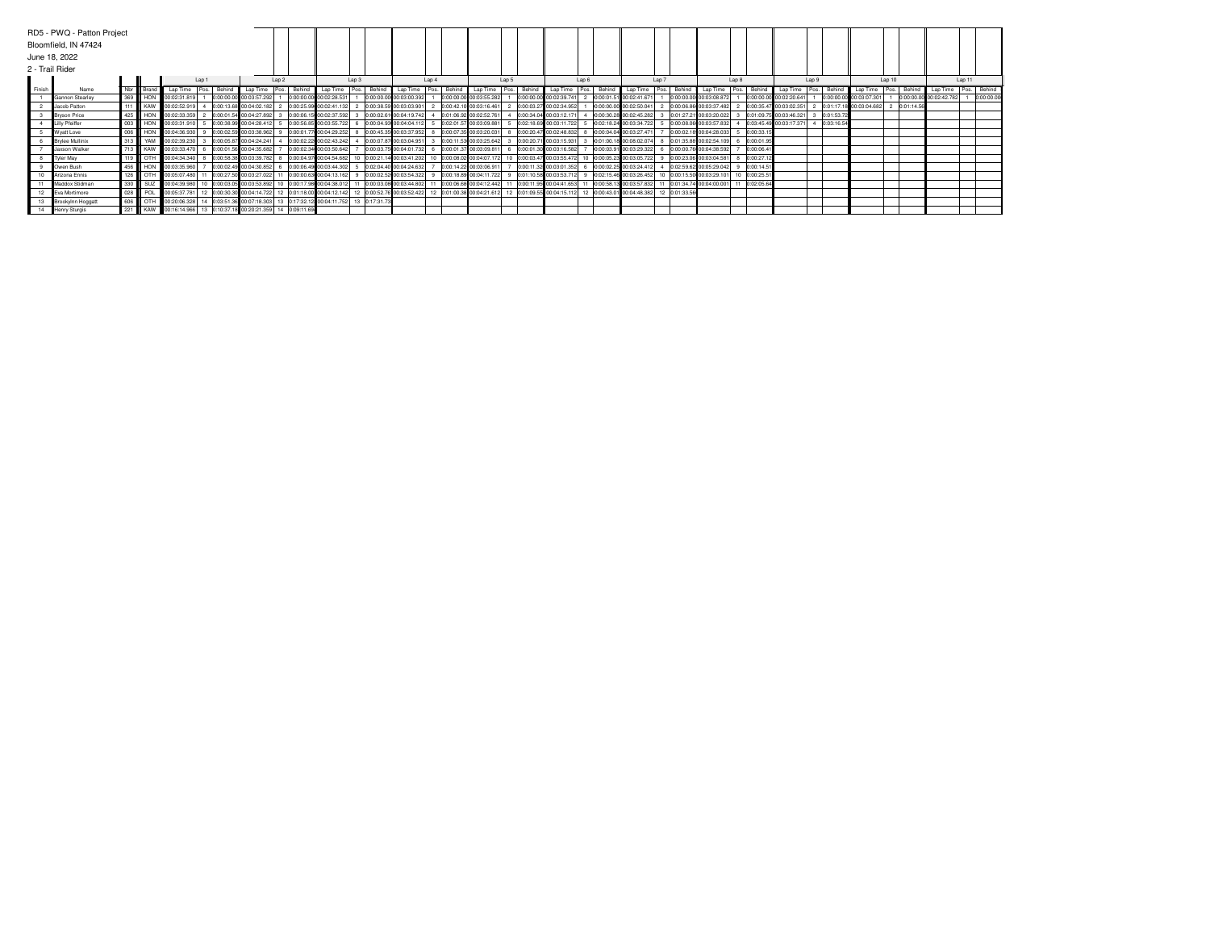|        | RD5 - PWQ - Patton Project |         |       |                                                             |  |  |                          |       |                                                                                           |  |             |                                                                                                                      |       |        |                           |  |       |                           |       |        |                                                                                                                           |  |               |                                      |        |            |                                                   |        |            |                                      |  |                         |  |             |
|--------|----------------------------|---------|-------|-------------------------------------------------------------|--|--|--------------------------|-------|-------------------------------------------------------------------------------------------|--|-------------|----------------------------------------------------------------------------------------------------------------------|-------|--------|---------------------------|--|-------|---------------------------|-------|--------|---------------------------------------------------------------------------------------------------------------------------|--|---------------|--------------------------------------|--------|------------|---------------------------------------------------|--------|------------|--------------------------------------|--|-------------------------|--|-------------|
|        | Bloomfield, IN 47424       |         |       |                                                             |  |  |                          |       |                                                                                           |  |             |                                                                                                                      |       |        |                           |  |       |                           |       |        |                                                                                                                           |  |               |                                      |        |            |                                                   |        |            |                                      |  |                         |  |             |
|        | June 18, 2022              |         |       |                                                             |  |  |                          |       |                                                                                           |  |             |                                                                                                                      |       |        |                           |  |       |                           |       |        |                                                                                                                           |  |               |                                      |        |            |                                                   |        |            |                                      |  |                         |  |             |
|        | 2 - Trail Rider            |         |       |                                                             |  |  |                          |       |                                                                                           |  |             |                                                                                                                      |       |        |                           |  |       |                           |       |        |                                                                                                                           |  |               |                                      |        |            |                                                   |        |            |                                      |  |                         |  |             |
| Lap 1  |                            |         |       |                                                             |  |  |                          | Lap 2 | Lap 3                                                                                     |  | Lap 4       |                                                                                                                      | Lap 5 |        | Lap 6                     |  | Lap 7 |                           | Lap 8 |        |                                                                                                                           |  | Lap 9         |                                      | Lap 10 |            |                                                   | Lap 11 |            |                                      |  |                         |  |             |
| Finish | Name                       | Nbr III | Brand | Lap Time   Pos.   Behind                                    |  |  | Lap Time   Pos.   Behind |       | Lap Time                                                                                  |  | Pos. Behind | Lap Time                                                                                                             | Pos.  | Behind | Lap Time   Pos.   Behind  |  |       | Lap Time Pos.             |       | Behind | Lap Time   Pos. Behind                                                                                                    |  |               | Lap Time   Pos.                      |        | Behind     | Lap Time Pos.                                     |        | Behind     | Lap Time Pos. Behind                 |  | Lap Time                |  | Pos. Behind |
|        | Gannon Stearley            | 369     |       | HON 00:02:31.819                                            |  |  |                          |       | 0:00:00.00 00:03:57.292 1 0:00:00.00 00:02:28.531                                         |  |             | 0:00:00.00 00:03:00.392                                                                                              |       |        | 0:00:00.00 00:03:55.282   |  |       | 0:00:00.00 00:02:39.741   |       |        | 2 0:00:01.51 00:02:41.671                                                                                                 |  |               | 0:00:00.00 00:03:08.872              |        |            | 0:00:00.00 00:02:20.641                           |        |            | 0:00:00.00 00:03:07.301              |  | 0:00:00.00 00:02:42.782 |  | 0:00:00.00  |
|        | Jacob Patton               |         | KAW   |                                                             |  |  |                          |       | 00:02:52.919 4 0:00:13.68 00:04:02.182 2 0:00:25.99 00:02:41.132 2 0:00:38.59 00:03:03:00 |  |             |                                                                                                                      |       |        | 2 0:00:42.10 00:03:16.461 |  |       | 0:00:03.27 00:02:34.952   |       |        | 0:00:00.00 00:02:50.041                                                                                                   |  |               |                                      |        |            | 0.00:06.86 00:03:37.482 2 0:00:35.47 00:03:02.351 |        |            | 0:01:17.18 00:03:04.682 2 0:01:14.56 |  |                         |  |             |
|        | <b>Bryson Price</b>        | 425     |       |                                                             |  |  |                          |       |                                                                                           |  |             | HON   00:02:33.359 2 0:00:01:54 00:04:27.892 3 0:00:06.15 00:02:37.592 3 0:00:02.61 00:04:19.742                     |       |        | 4 0:01:06.92 00:02:52.761 |  |       | 0:00:34.04 00:03:12.171   |       |        | 4 0:00:30.28 00:02:45.282                                                                                                 |  |               |                                      |        |            | 0:01:27.21 00:03:20.022 3 0:01:09.75 00:03:46.321 |        | 0:01:53.72 |                                      |  |                         |  |             |
|        | Lilly Pfeiffer             |         |       | HON 00:03:31.910 5                                          |  |  |                          |       | 0:00:38.99 00:04:28.412 5 0:00:56.85 00:03:55.722                                         |  |             | 0:00:04.93 00:04:04.112                                                                                              |       |        | 0:02:01.57 00:03:09.881   |  |       | 0:02:18.69 00:03:11.722   |       |        | 0:02:18.24 00:03:34.722                                                                                                   |  |               | 0:00:08.06 00:03:57.832              |        |            | 0:03:45.49 00:03:17.371                           |        | 0:03:16.54 |                                      |  |                         |  |             |
|        | Wyatt Love                 | 006     |       |                                                             |  |  |                          |       | HON 00:04:36.930 9 0:00:02.59 00:03:38.962 9 0:00:01.77 00:04:29.252                      |  |             | 8 0:00:45.35 00:03:37.952                                                                                            |       |        | 8 0:00:07.35 00:03:20.031 |  |       | 0:00:20.47 00:02:48.832   |       |        | 8 0:00:04.04 00:03:27.471                                                                                                 |  |               | 0:00:02.18 00:04:28.033 5 0:00:33.1  |        |            |                                                   |        |            |                                      |  |                         |  |             |
|        | <b>Brylee Mullinix</b>     |         |       |                                                             |  |  |                          |       | YAM   00:02:39.230 3 0:00:05.87 00:04:24.241 4 0:00:02.22 00:02:43.242                    |  |             | 4 0:00:07.87 00:03:04.951                                                                                            |       |        | 3 0:00:11.53 00:03:25.642 |  |       | 0:00:20.71 00:03:15.931   |       |        | 3 0:01:00.18 00:08:02.074                                                                                                 |  |               | 0:01:35.88 00:02:54.109 6            |        | 0:00:01.95 |                                                   |        |            |                                      |  |                         |  |             |
|        | Jaxson Walker              |         |       |                                                             |  |  |                          |       | KAW   00:03:33.470 6 0:00:01.56 00:04:35.682 7 0:00:02.34 00:03:50.642                    |  |             | 0:00:03.75 00:04:01.732                                                                                              |       |        | 6 0:00:01.37 00:03:09.811 |  |       | 0:00:01.30 00:03:16.582   |       |        | 0:00:03.91 00:03:29.322                                                                                                   |  |               | 0:00:00.76 00:04:38.592              |        | 0:00:06.4  |                                                   |        |            |                                      |  |                         |  |             |
|        | Tyler May                  |         | OTH   |                                                             |  |  |                          |       |                                                                                           |  |             | 100:04:34.340 8 0:00:58.38 00:03:39.782 8 0:00:04:97 00:04:54.682 10 0:00:21.14 00:03:41.202                         |       |        |                           |  |       |                           |       |        | 10 0:00:08.02 00:04:07.172 10 0:00:03.47 00:03:55.472 10 0:00:05.23 00:03:05.722 9                                        |  |               | 0:00:23.06 00:03:04.581              |        | 0:00:27.12 |                                                   |        |            |                                      |  |                         |  |             |
|        | Owen Bush                  | 456 III |       | HON 100:03:35.960 7                                         |  |  |                          |       |                                                                                           |  |             | $0.00.02.49$ 00:04:30.852 6 0:00:06.49 00:03:44.302 5 0:02:04.40 00:04:24.632                                        |       |        | 0:00:14.22 00:03:06.911   |  |       | 0:00:11.32 00:03:01.352   |       |        | 0:00:02.25 00:03:24.412                                                                                                   |  |               | 0:02:59.62 00:05:29.042 9            |        | 0:00:14.5  |                                                   |        |            |                                      |  |                         |  |             |
|        | Arizona Ennis              |         |       |                                                             |  |  |                          |       |                                                                                           |  |             | OTH   0:05:07.480 11 0:00:27.50 00:03:27.022 11 0:00:00.63 00:04:13.162 9 0:00:02.52 00:03:54.322                    |       |        | 9 0:00:18.89 00:04:11.722 |  |       | 9 0:01:10.58 00:03:53.712 |       |        | 9 0:02:15.46 00:03:26.452                                                                                                 |  |               | 0:00:15.50 00:03:29.101 10 0:00:25.5 |        |            |                                                   |        |            |                                      |  |                         |  |             |
|        | Maddox Stidman             | 330     |       |                                                             |  |  |                          |       |                                                                                           |  |             | SUZ   0:04:39.980 10 0:00:03.05 00:03:53.892 10 0:00:17.98 00:04:38.012 11 0:00:03.08 00:03:44.802                   |       |        |                           |  |       |                           |       |        | 11 0:00:06.68 00:04:12.442 11 0:00:11.95 00:04:41.653 11 0:00:58.13 00:03:57.832 11 0:01:34.74 00:04:00.001 11 0:02:05.64 |  |               |                                      |        |            |                                                   |        |            |                                      |  |                         |  |             |
|        | Eva Mortimore              |         | POL   |                                                             |  |  |                          |       |                                                                                           |  |             | .    00:05:37.781   12   0:00:30.30   00:04:14.722   12   0:01:18.00   00:04:12.142   12   0:00:52.76   00:03:52.422 |       |        |                           |  |       |                           |       |        | 12 0:01:00.38 00:04:21.612 12 0:01:09.55 00:04:15.112 12 0:00:43.01 00:04:48.382                                          |  | 12 0:01:33.56 |                                      |        |            |                                                   |        |            |                                      |  |                         |  |             |
|        | Brookylnn Hoggatt          | 606     |       |                                                             |  |  |                          |       | OTH   00:20:06.328 14 0:03:51.36 00:07:18.303 13 0:17:32.12 00:04:11.752 13 0:17:31.73    |  |             |                                                                                                                      |       |        |                           |  |       |                           |       |        |                                                                                                                           |  |               |                                      |        |            |                                                   |        |            |                                      |  |                         |  |             |
|        | Henry Sturgis              | 221 II  |       | KAW   00:16:14.966 13 0:10:37.18 00:20:21.359 14 0:09:11.69 |  |  |                          |       |                                                                                           |  |             |                                                                                                                      |       |        |                           |  |       |                           |       |        |                                                                                                                           |  |               |                                      |        |            |                                                   |        |            |                                      |  |                         |  |             |